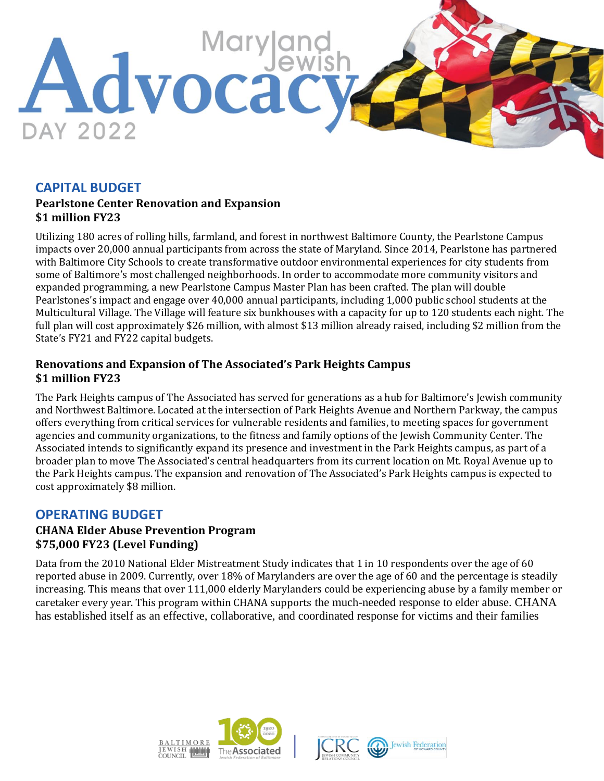

# **CAPITAL BUDGET**

#### **Pearlstone Center Renovation and Expansion \$1 million FY23**

Utilizing 180 acres of rolling hills, farmland, and forest in northwest Baltimore County, the Pearlstone Campus impacts over 20,000 annual participants from across the state of Maryland. Since 2014, Pearlstone has partnered with Baltimore City Schools to create transformative outdoor environmental experiences for city students from some of Baltimore's most challenged neighborhoods. In order to accommodate more community visitors and expanded programming, a new Pearlstone Campus Master Plan has been crafted. The plan will double Pearlstones's impact and engage over 40,000 annual participants, including 1,000 public school students at the Multicultural Village. The Village will feature six bunkhouses with a capacity for up to 120 students each night. The full plan will cost approximately \$26 million, with almost \$13 million already raised, including \$2 million from the State's FY21 and FY22 capital budgets.

### **Renovations and Expansion of The Associated's Park Heights Campus \$1 million FY23**

The Park Heights campus of The Associated has served for generations as a hub for Baltimore's Jewish community and Northwest Baltimore. Located at the intersection of Park Heights Avenue and Northern Parkway, the campus offers everything from critical services for vulnerable residents and families, to meeting spaces for government agencies and community organizations, to the fitness and family options of the Jewish Community Center. The Associated intends to significantly expand its presence and investment in the Park Heights campus, as part of a broader plan to move The Associated's central headquarters from its current location on Mt. Royal Avenue up to the Park Heights campus. The expansion and renovation of The Associated's Park Heights campus is expected to cost approximately \$8 million.

# **OPERATING BUDGET**

#### **CHANA Elder Abuse Prevention Program \$75,000 FY23 (Level Funding)**

Data from the 2010 National Elder Mistreatment Study indicates that 1 in 10 respondents over the age of 60 reported abuse in 2009. Currently, over 18% of Marylanders are over the age of 60 and the percentage is steadily increasing. This means that over 111,000 elderly Marylanders could be experiencing abuse by a family member or caretaker every year. This program within CHANA supports the much-needed response to elder abuse. CHANA has established itself as an effective, collaborative, and coordinated response for victims and their families